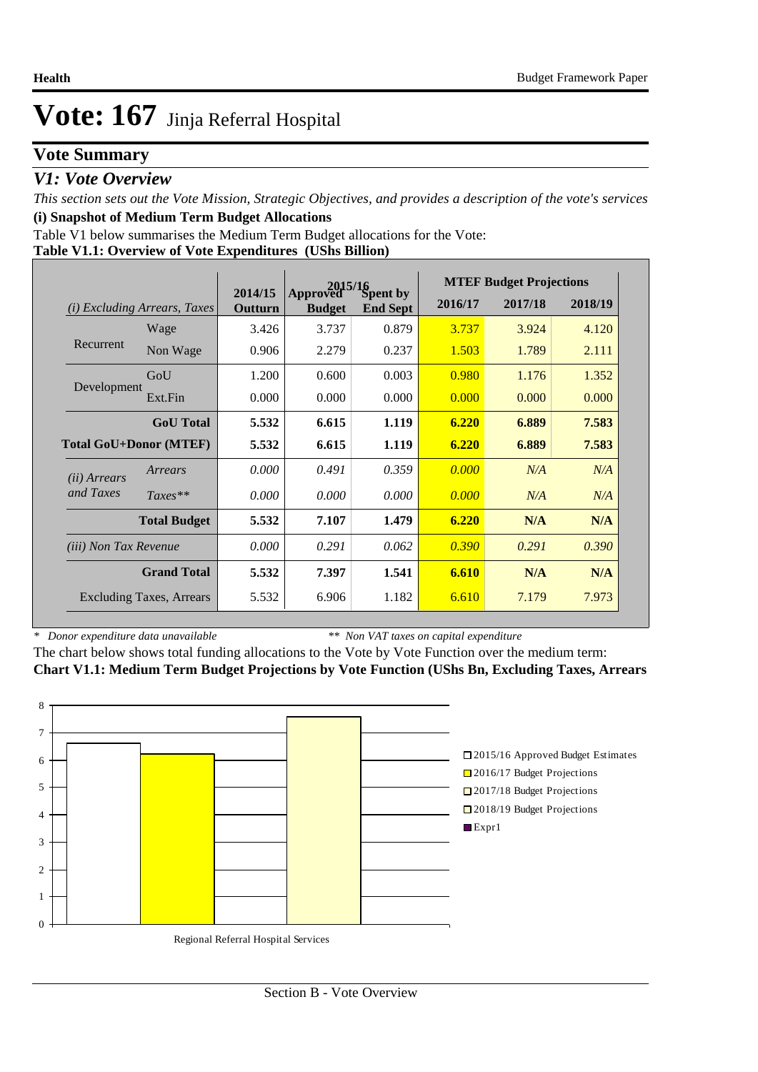### **Vote Summary**

### *V1: Vote Overview*

*This section sets out the Vote Mission, Strategic Objectives, and provides a description of the vote's services* **(i) Snapshot of Medium Term Budget Allocations** 

Table V1 below summarises the Medium Term Budget allocations for the Vote:

|  |  | Table V1.1: Overview of Vote Expenditures (UShs Billion) |
|--|--|----------------------------------------------------------|
|  |  |                                                          |

|                                 |                                 |                    | 2015/16                   |                             | <b>MTEF Budget Projections</b> |         |         |  |
|---------------------------------|---------------------------------|--------------------|---------------------------|-----------------------------|--------------------------------|---------|---------|--|
| (i)                             | <i>Excluding Arrears, Taxes</i> | 2014/15<br>Outturn | Approved<br><b>Budget</b> | Spent by<br><b>End Sept</b> | 2016/17                        | 2017/18 | 2018/19 |  |
|                                 | Wage                            | 3.426              | 3.737                     | 0.879                       | 3.737                          | 3.924   | 4.120   |  |
| Recurrent                       | Non Wage                        | 0.906              | 2.279                     | 0.237                       | 1.503                          | 1.789   | 2.111   |  |
|                                 | GoU                             | 1.200              | 0.600                     | 0.003                       | 0.980                          | 1.176   | 1.352   |  |
| Development                     | Ext.Fin                         | 0.000              | 0.000                     | 0.000                       | 0.000                          | 0.000   | 0.000   |  |
|                                 | <b>GoU</b> Total                | 5.532              | 6.615                     | 1.119                       | 6.220                          | 6.889   | 7.583   |  |
| <b>Total GoU+Donor (MTEF)</b>   |                                 | 5.532              | 6.615                     | 1.119                       | 6.220                          | 6.889   | 7.583   |  |
| ( <i>ii</i> ) Arrears           | Arrears                         | 0.000              | 0.491                     | 0.359                       | 0.000                          | N/A     | N/A     |  |
| and Taxes                       | $Taxes**$                       | 0.000              | 0.000                     | 0.000                       | 0.000                          | N/A     | N/A     |  |
|                                 | <b>Total Budget</b>             | 5.532              | 7.107                     | 1.479                       | 6.220                          | N/A     | N/A     |  |
| <i>(iii)</i> Non Tax Revenue    |                                 | 0.000              | 0.291                     | 0.062                       | 0.390                          | 0.291   | 0.390   |  |
|                                 | <b>Grand Total</b>              | 5.532              | 7.397                     | 1.541                       | 6.610                          | N/A     | N/A     |  |
| <b>Excluding Taxes, Arrears</b> |                                 | 5.532              | 6.906                     | 1.182                       | 6.610                          | 7.179   | 7.973   |  |

*\* Donor expenditure data unavailable*

*\*\* Non VAT taxes on capital expenditure*

The chart below shows total funding allocations to the Vote by Vote Function over the medium term: **Chart V1.1: Medium Term Budget Projections by Vote Function (UShs Bn, Excluding Taxes, Arrears**

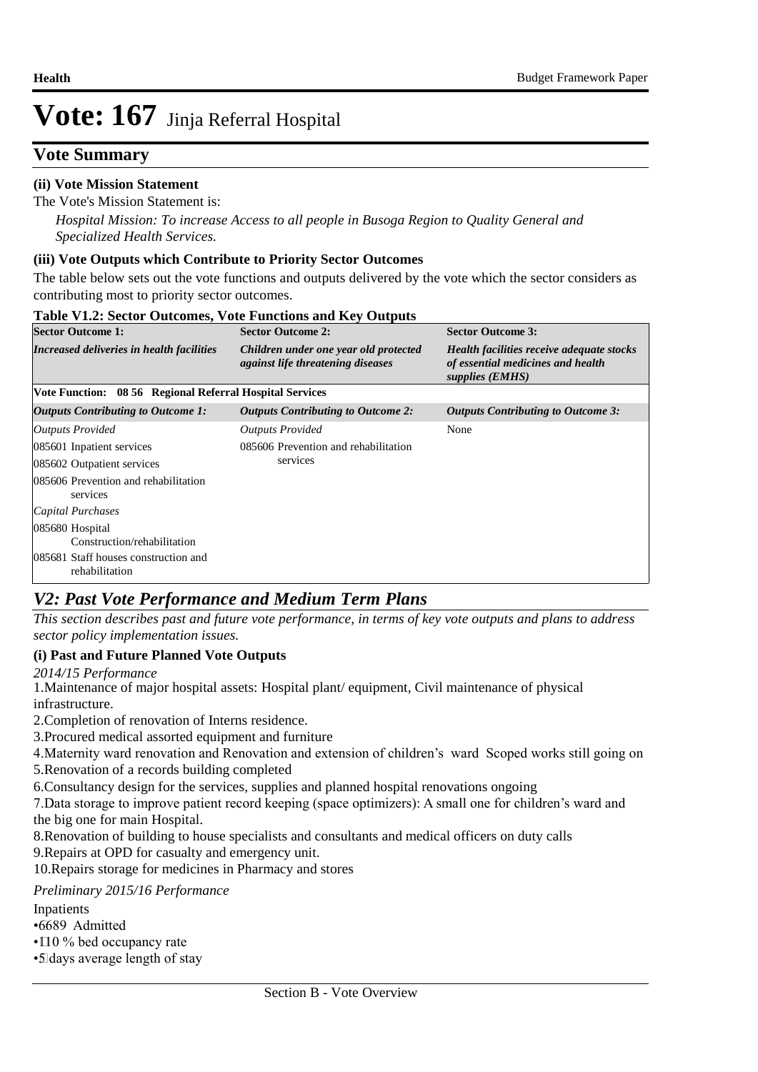### **Vote Summary**

#### **(ii) Vote Mission Statement**

The Vote's Mission Statement is:

*Hospital Mission: To increase Access to all people in Busoga Region to Quality General and Specialized Health Services.*

#### **(iii) Vote Outputs which Contribute to Priority Sector Outcomes**

The table below sets out the vote functions and outputs delivered by the vote which the sector considers as contributing most to priority sector outcomes.

| <b>Table V1.2: Sector Outcomes, Vote Functions and Key Outputs</b> |                                                                                   |                                                                                                   |  |  |  |  |  |  |  |
|--------------------------------------------------------------------|-----------------------------------------------------------------------------------|---------------------------------------------------------------------------------------------------|--|--|--|--|--|--|--|
| <b>Sector Outcome 1:</b>                                           | <b>Sector Outcome 2:</b>                                                          | <b>Sector Outcome 3:</b>                                                                          |  |  |  |  |  |  |  |
| Increased deliveries in health facilities                          | Children under one year old protected<br><i>against life threatening diseases</i> | Health facilities receive adequate stocks<br>of essential medicines and health<br>supplies (EMHS) |  |  |  |  |  |  |  |
| Vote Function: 08 56 Regional Referral Hospital Services           |                                                                                   |                                                                                                   |  |  |  |  |  |  |  |
| <b>Outputs Contributing to Outcome 1:</b>                          | <b>Outputs Contributing to Outcome 2:</b>                                         | Outputs Contributing to Outcome 3:                                                                |  |  |  |  |  |  |  |
| Outputs Provided                                                   | <b>Outputs Provided</b>                                                           | None                                                                                              |  |  |  |  |  |  |  |
| 085601 Inpatient services                                          | 085606 Prevention and rehabilitation                                              |                                                                                                   |  |  |  |  |  |  |  |
| 085602 Outpatient services                                         | services                                                                          |                                                                                                   |  |  |  |  |  |  |  |
| 085606 Prevention and rehabilitation<br>services                   |                                                                                   |                                                                                                   |  |  |  |  |  |  |  |
| Capital Purchases                                                  |                                                                                   |                                                                                                   |  |  |  |  |  |  |  |
| 085680 Hospital<br>Construction/rehabilitation                     |                                                                                   |                                                                                                   |  |  |  |  |  |  |  |
| 085681 Staff houses construction and<br>rehabilitation             |                                                                                   |                                                                                                   |  |  |  |  |  |  |  |

### *V2: Past Vote Performance and Medium Term Plans*

*This section describes past and future vote performance, in terms of key vote outputs and plans to address sector policy implementation issues.* 

#### **(i) Past and Future Planned Vote Outputs**

*2014/15 Performance*

1. Maintenance of major hospital assets: Hospital plant/ equipment, Civil maintenance of physical infrastructure.

2. Completion of renovation of Interns residence.

3. Procured medical assorted equipment and furniture

4. Maternity ward renovation and Renovation and extension of children's ward Scoped works still going on 5. Renovation of a records building completed

6. Consultancy design for the services, supplies and planned hospital renovations ongoing

7. Data storage to improve patient record keeping (space optimizers): A small one for children's ward and the big one for main Hospital.

8. Renovation of building to house specialists and consultants and medical officers on duty calls 9. Repairs at OPD for casualty and emergency unit.

10. Repairs storage for medicines in Pharmacy and stores

#### *Preliminary 2015/16 Performance*

Inpatients

•6689 Admitted

 $\cdot$  110 % bed occupancy rate

• 5 days average length of stay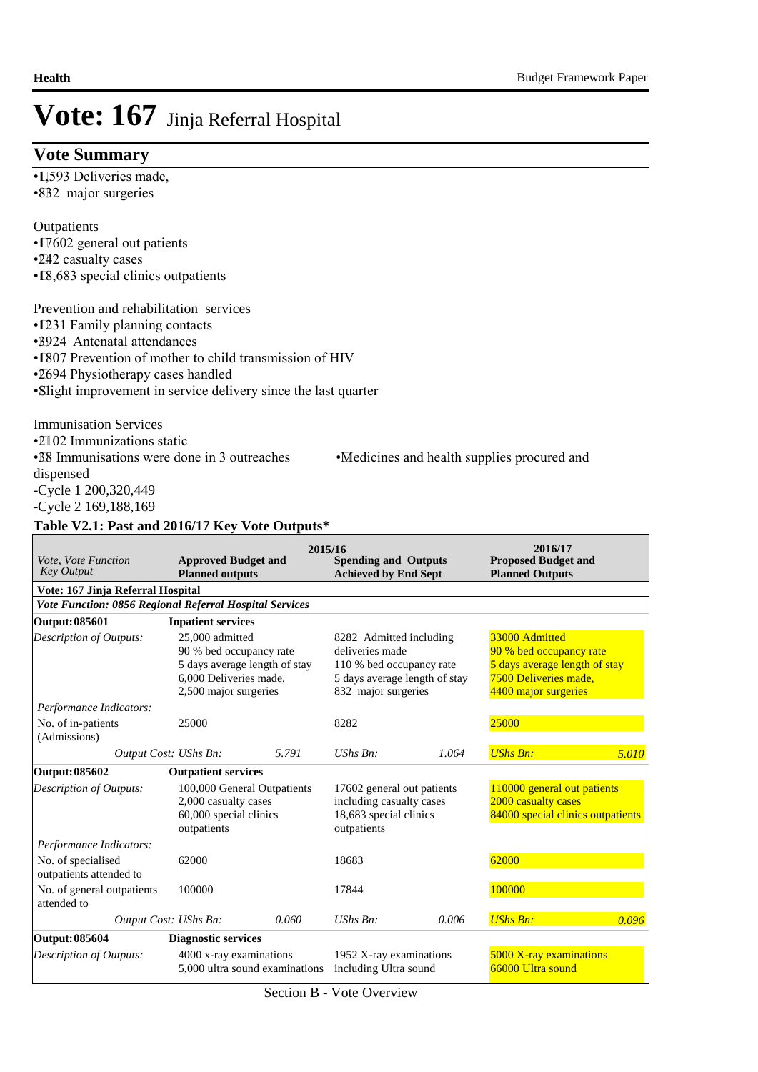#### **Vote Summary**

•**1,593 Deliveries made,** 

•832 major surgeries

#### **Outpatients**

- $17602$  general out patients
- •242 casualty cases
- IS, 683 special clinics outpatients

#### Prevention and rehabilitation services

- • 1231 Family planning contacts
- • 3924 Antenatal attendances
- 1807 Prevention of mother to child transmission of HIV
- •2694 Physiotherapy cases handled
- • Slight improvement in service delivery since the last quarter

 Immunisation Services • 2102 Immunizations static

• 38 Immunisations were done in 3 outreaches • Medicines and health supplies procured and

dispensed

-Cycle 1 200,320,449

-Cycle 2 169,188,169

#### **Table V2.1: Past and 2016/17 Key Vote Outputs\***

| Vote, Vote Function<br><b>Key Output</b>                                             | <b>Approved Budget and</b><br><b>Planned outputs</b>                                                                           | 2015/16                                          | <b>Spending and Outputs</b><br><b>Achieved by End Sept</b>                                                                     |                                              | 2016/17<br><b>Proposed Budget and</b><br><b>Planned Outputs</b>                                                             |       |
|--------------------------------------------------------------------------------------|--------------------------------------------------------------------------------------------------------------------------------|--------------------------------------------------|--------------------------------------------------------------------------------------------------------------------------------|----------------------------------------------|-----------------------------------------------------------------------------------------------------------------------------|-------|
| Vote: 167 Jinja Referral Hospital                                                    |                                                                                                                                |                                                  |                                                                                                                                |                                              |                                                                                                                             |       |
| Vote Function: 0856 Regional Referral Hospital Services                              |                                                                                                                                |                                                  |                                                                                                                                |                                              |                                                                                                                             |       |
| Output: 085601                                                                       | <b>Inpatient services</b>                                                                                                      |                                                  |                                                                                                                                |                                              |                                                                                                                             |       |
| Description of Outputs:                                                              | 25,000 admitted<br>90 % bed occupancy rate<br>5 days average length of stay<br>6,000 Deliveries made,<br>2,500 major surgeries |                                                  | 8282 Admitted including<br>deliveries made<br>110 % bed occupancy rate<br>5 days average length of stay<br>832 major surgeries |                                              | 33000 Admitted<br>90 % bed occupancy rate<br>5 days average length of stay<br>7500 Deliveries made,<br>4400 major surgeries |       |
| Performance Indicators:                                                              |                                                                                                                                |                                                  |                                                                                                                                |                                              |                                                                                                                             |       |
| No. of in-patients<br>(Admissions)                                                   | 25000                                                                                                                          |                                                  | 8282                                                                                                                           |                                              | 25000                                                                                                                       |       |
| Output Cost: UShs Bn:                                                                |                                                                                                                                | 5.791                                            | UShs Bn:                                                                                                                       | 1.064                                        | <b>UShs Bn:</b>                                                                                                             | 5.010 |
| Output: 085602                                                                       | <b>Outpatient services</b>                                                                                                     |                                                  |                                                                                                                                |                                              |                                                                                                                             |       |
| Description of Outputs:                                                              | 100,000 General Outpatients<br>2,000 casualty cases<br>60,000 special clinics<br>outpatients                                   |                                                  | 17602 general out patients<br>including casualty cases<br>18,683 special clinics<br>outpatients                                |                                              | 110000 general out patients<br>2000 casualty cases<br>84000 special clinics outpatients                                     |       |
| Performance Indicators:                                                              |                                                                                                                                |                                                  |                                                                                                                                |                                              |                                                                                                                             |       |
| No. of specialised<br>outpatients attended to                                        | 62000                                                                                                                          |                                                  | 18683                                                                                                                          |                                              | 62000                                                                                                                       |       |
| No. of general outpatients<br>attended to                                            | 100000                                                                                                                         |                                                  | 17844                                                                                                                          |                                              | 100000                                                                                                                      |       |
| Output Cost: UShs Bn:                                                                |                                                                                                                                | 0.060                                            | $UShs Bn$ :                                                                                                                    | 0.006                                        | <b>UShs Bn:</b>                                                                                                             | 0.096 |
| <b>Output: 085604</b>                                                                | <b>Diagnostic services</b>                                                                                                     |                                                  |                                                                                                                                |                                              |                                                                                                                             |       |
| Description of Outputs:<br>4000 x-ray examinations<br>5,000 ultra sound examinations |                                                                                                                                | 1952 X-ray examinations<br>including Ultra sound |                                                                                                                                | 5000 X-ray examinations<br>66000 Ultra sound |                                                                                                                             |       |

Section B - Vote Overview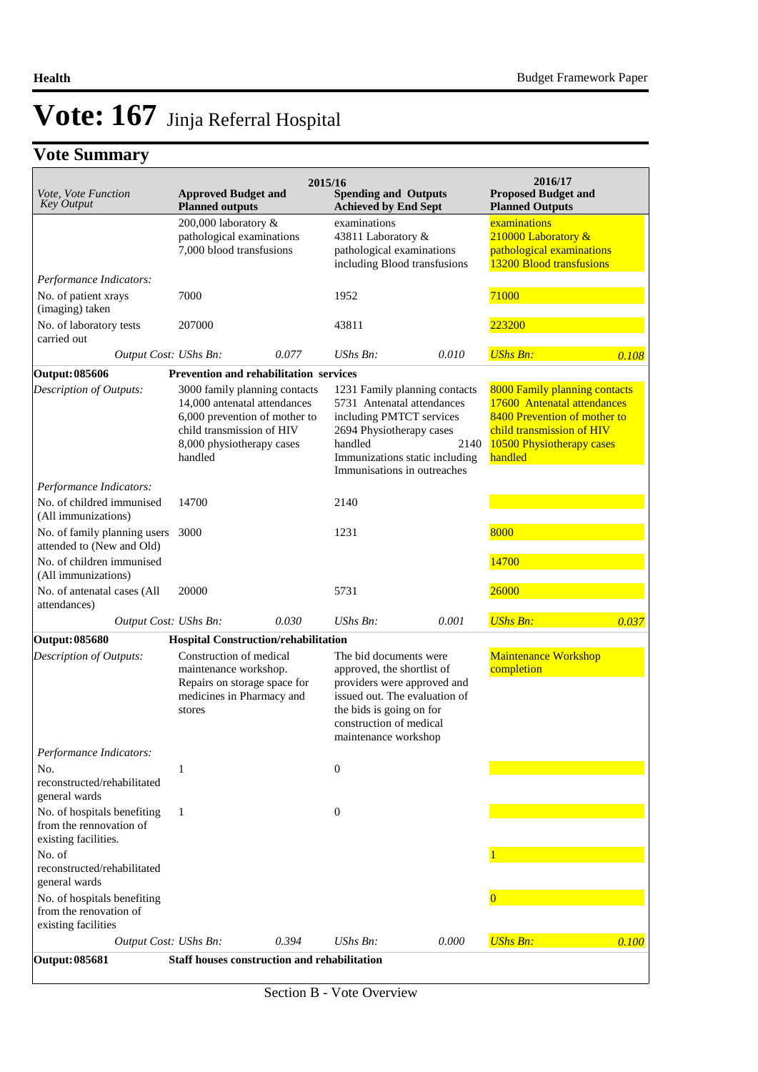## **Vote Summary**

| Vote, Vote Function                                                            | <b>Approved Budget and</b>                                                                                                                                          |       | 2015/16<br><b>Spending and Outputs</b>                                                                                                                                                              |       | 2016/17<br><b>Proposed Budget and</b>                                                                                                                             |       |
|--------------------------------------------------------------------------------|---------------------------------------------------------------------------------------------------------------------------------------------------------------------|-------|-----------------------------------------------------------------------------------------------------------------------------------------------------------------------------------------------------|-------|-------------------------------------------------------------------------------------------------------------------------------------------------------------------|-------|
| <b>Key Output</b>                                                              | <b>Planned outputs</b>                                                                                                                                              |       | <b>Achieved by End Sept</b>                                                                                                                                                                         |       | <b>Planned Outputs</b>                                                                                                                                            |       |
|                                                                                | 200,000 laboratory &<br>pathological examinations<br>7,000 blood transfusions                                                                                       |       | examinations<br>43811 Laboratory &<br>pathological examinations<br>including Blood transfusions                                                                                                     |       | examinations<br>210000 Laboratory &<br>pathological examinations<br>13200 Blood transfusions                                                                      |       |
| Performance Indicators:                                                        |                                                                                                                                                                     |       |                                                                                                                                                                                                     |       |                                                                                                                                                                   |       |
| No. of patient xrays<br>(imaging) taken                                        | 7000                                                                                                                                                                |       | 1952                                                                                                                                                                                                |       | 71000                                                                                                                                                             |       |
| No. of laboratory tests<br>carried out                                         | 207000                                                                                                                                                              |       | 43811                                                                                                                                                                                               |       | 223200                                                                                                                                                            |       |
| Output Cost: UShs Bn:                                                          |                                                                                                                                                                     | 0.077 | $UShs Bn$ :                                                                                                                                                                                         | 0.010 | <b>UShs Bn:</b>                                                                                                                                                   | 0.108 |
| <b>Output: 085606</b>                                                          | <b>Prevention and rehabilitation services</b>                                                                                                                       |       |                                                                                                                                                                                                     |       |                                                                                                                                                                   |       |
| Description of Outputs:                                                        | 3000 family planning contacts<br>14,000 antenatal attendances<br>6,000 prevention of mother to<br>child transmission of HIV<br>8,000 physiotherapy cases<br>handled |       | 1231 Family planning contacts<br>5731 Antenatal attendances<br>including PMTCT services<br>2694 Physiotherapy cases<br>handled<br>Immunizations static including<br>Immunisations in outreaches     | 2140  | 8000 Family planning contacts<br>17600 Antenatal attendances<br>8400 Prevention of mother to<br>child transmission of HIV<br>10500 Physiotherapy cases<br>handled |       |
| Performance Indicators:                                                        |                                                                                                                                                                     |       |                                                                                                                                                                                                     |       |                                                                                                                                                                   |       |
| No. of childred immunised<br>(All immunizations)                               | 14700                                                                                                                                                               |       | 2140                                                                                                                                                                                                |       |                                                                                                                                                                   |       |
| No. of family planning users 3000<br>attended to (New and Old)                 |                                                                                                                                                                     |       | 1231                                                                                                                                                                                                |       | 8000                                                                                                                                                              |       |
| No. of children immunised<br>(All immunizations)                               |                                                                                                                                                                     |       |                                                                                                                                                                                                     |       | 14700                                                                                                                                                             |       |
| No. of antenatal cases (All<br>attendances)                                    | 20000                                                                                                                                                               |       | 5731                                                                                                                                                                                                |       | 26000                                                                                                                                                             |       |
| Output Cost: UShs Bn:                                                          |                                                                                                                                                                     | 0.030 | UShs Bn:                                                                                                                                                                                            | 0.001 | <b>UShs Bn:</b>                                                                                                                                                   | 0.037 |
| <b>Output: 085680</b>                                                          | <b>Hospital Construction/rehabilitation</b>                                                                                                                         |       |                                                                                                                                                                                                     |       |                                                                                                                                                                   |       |
| Description of Outputs:                                                        | Construction of medical<br>maintenance workshop.<br>Repairs on storage space for<br>medicines in Pharmacy and<br>stores                                             |       | The bid documents were<br>approved, the shortlist of<br>providers were approved and<br>issued out. The evaluation of<br>the bids is going on for<br>construction of medical<br>maintenance workshop |       | Maintenance Workshop<br>completion                                                                                                                                |       |
| Performance Indicators:                                                        |                                                                                                                                                                     |       |                                                                                                                                                                                                     |       |                                                                                                                                                                   |       |
| No.<br>reconstructed/rehabilitated<br>general wards                            | 1                                                                                                                                                                   |       | $\boldsymbol{0}$                                                                                                                                                                                    |       |                                                                                                                                                                   |       |
| No. of hospitals benefiting<br>from the rennovation of<br>existing facilities. | 1                                                                                                                                                                   |       | $\boldsymbol{0}$                                                                                                                                                                                    |       |                                                                                                                                                                   |       |
| No. of<br>reconstructed/rehabilitated<br>general wards                         |                                                                                                                                                                     |       |                                                                                                                                                                                                     |       |                                                                                                                                                                   |       |
| No. of hospitals benefiting<br>from the renovation of<br>existing facilities   |                                                                                                                                                                     |       |                                                                                                                                                                                                     |       | $\overline{0}$                                                                                                                                                    |       |
| Output Cost: UShs Bn:                                                          |                                                                                                                                                                     | 0.394 | $UShs Bn$ :                                                                                                                                                                                         | 0.000 | <b>UShs Bn:</b>                                                                                                                                                   | 0.100 |
| <b>Output: 085681</b>                                                          | <b>Staff houses construction and rehabilitation</b>                                                                                                                 |       |                                                                                                                                                                                                     |       |                                                                                                                                                                   |       |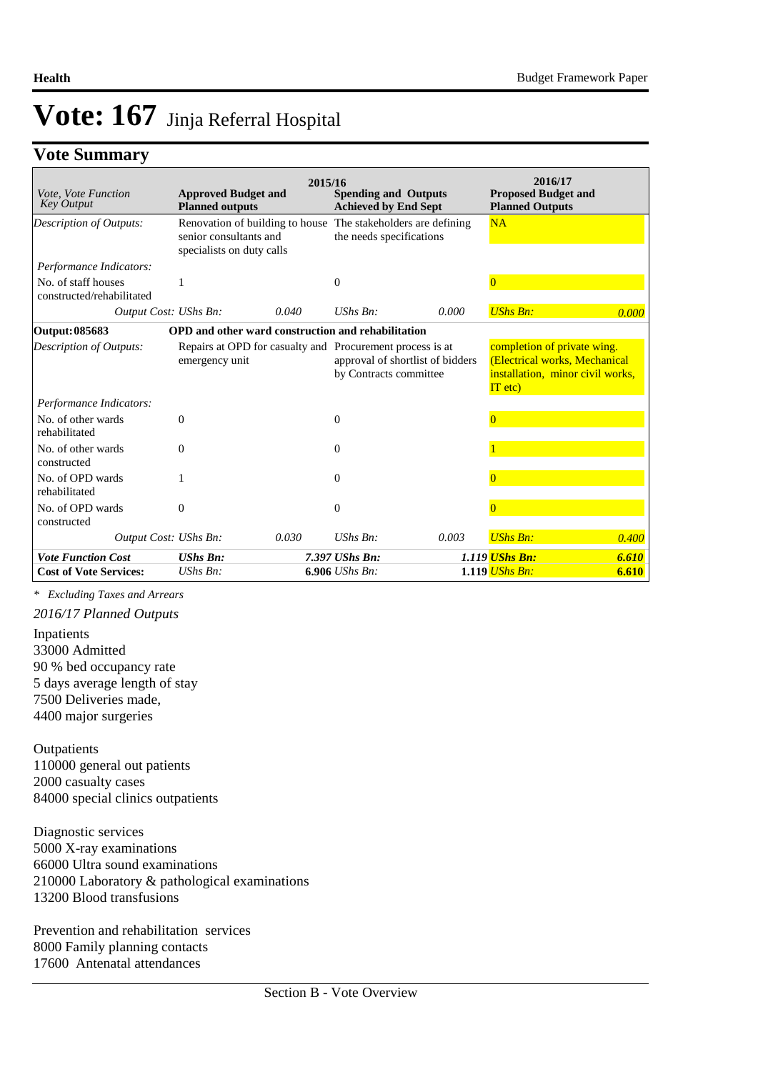### **Vote Summary**

| Vote, Vote Function<br><b>Key Output</b>         | <b>Approved Budget and</b><br><b>Planned outputs</b> | 2015/16 | <b>Spending and Outputs</b><br><b>Achieved by End Sept</b>                                                              |       | 2016/17<br><b>Proposed Budget and</b><br><b>Planned Outputs</b>                                               |       |
|--------------------------------------------------|------------------------------------------------------|---------|-------------------------------------------------------------------------------------------------------------------------|-------|---------------------------------------------------------------------------------------------------------------|-------|
| <b>Description of Outputs:</b>                   | senior consultants and<br>specialists on duty calls  |         | Renovation of building to house The stakeholders are defining<br>the needs specifications                               |       | <b>NA</b>                                                                                                     |       |
| Performance Indicators:                          |                                                      |         |                                                                                                                         |       |                                                                                                               |       |
| No. of staff houses<br>constructed/rehabilitated |                                                      |         | $\Omega$                                                                                                                |       | $\Omega$                                                                                                      |       |
| Output Cost: UShs Bn:                            |                                                      | 0.040   | $UShs Bn$ :                                                                                                             | 0.000 | <b>UShs Bn:</b>                                                                                               | 0.000 |
| Output: 085683                                   |                                                      |         | OPD and other ward construction and rehabilitation                                                                      |       |                                                                                                               |       |
| <b>Description of Outputs:</b>                   | emergency unit                                       |         | Repairs at OPD for casualty and Procurement process is at<br>approval of shortlist of bidders<br>by Contracts committee |       | completion of private wing.<br>(Electrical works, Mechanical<br>installation, minor civil works,<br>$IT$ etc) |       |
| Performance Indicators:                          |                                                      |         |                                                                                                                         |       |                                                                                                               |       |
| No. of other wards<br>rehabilitated              | $\Omega$                                             |         | $\Omega$                                                                                                                |       |                                                                                                               |       |
| No. of other wards<br>constructed                | 0                                                    |         | $\Omega$                                                                                                                |       |                                                                                                               |       |
| No. of OPD wards<br>rehabilitated                |                                                      |         | $\Omega$                                                                                                                |       | $\Omega$                                                                                                      |       |
| No. of OPD wards<br>constructed                  | $\theta$                                             |         | $\Omega$                                                                                                                |       |                                                                                                               |       |
| Output Cost: UShs Bn:                            |                                                      | 0.030   | $UShs Bn$ :                                                                                                             | 0.003 | <b>UShs Bn:</b>                                                                                               | 0.400 |
| <b>Vote Function Cost</b>                        | <b>UShs Bn:</b>                                      |         | 7.397 UShs Bn:                                                                                                          |       | 1.119 UShs Bn:                                                                                                | 6.610 |
| <b>Cost of Vote Services:</b>                    | UShs Bn:                                             |         | $6.906$ UShs Bn:                                                                                                        |       | $1.119$ UShs Bn:                                                                                              | 6.610 |

*\* Excluding Taxes and Arrears*

*2016/17 Planned Outputs*

Inpatients 33000 Admitted 90 % bed occupancy rate 5 days average length of stay 7500 Deliveries made, 4400 major surgeries

**Outpatients** 110000 general out patients 2000 casualty cases 84000 special clinics outpatients

Diagnostic services 5000 X-ray examinations 66000 Ultra sound examinations 210000 Laboratory & pathological examinations 13200 Blood transfusions

Prevention and rehabilitation services 8000 Family planning contacts 17600 Antenatal attendances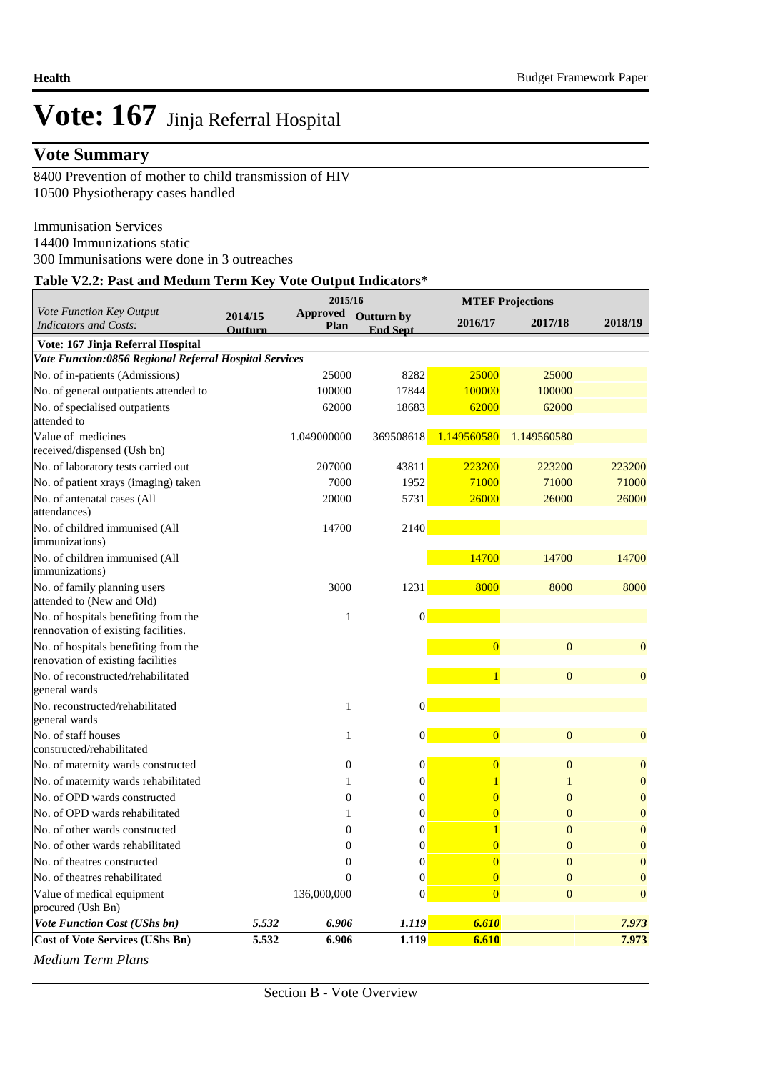## **Vote Summary**

8400 Prevention of mother to child transmission of HIV 10500 Physiotherapy cases handled

 Immunisation Services 14400 Immunizations static 300 Immunisations were done in 3 outreaches

#### **Table V2.2: Past and Medum Term Key Vote Output Indicators\***

|                                                                             |                    | 2015/16                 |                               | <b>MTEF Projections</b> |                  |                  |
|-----------------------------------------------------------------------------|--------------------|-------------------------|-------------------------------|-------------------------|------------------|------------------|
| Vote Function Key Output<br><b>Indicators and Costs:</b>                    | 2014/15<br>Outturn | <b>Approved</b><br>Plan | Outturn by<br><b>End Sept</b> | 2016/17                 | 2017/18          | 2018/19          |
| Vote: 167 Jinja Referral Hospital                                           |                    |                         |                               |                         |                  |                  |
| Vote Function:0856 Regional Referral Hospital Services                      |                    |                         |                               |                         |                  |                  |
| No. of in-patients (Admissions)                                             |                    | 25000                   | 8282                          | 25000                   | 25000            |                  |
| No. of general outpatients attended to                                      |                    | 100000                  | 17844                         | 100000                  | 100000           |                  |
| No. of specialised outpatients<br>attended to                               |                    | 62000                   | 18683                         | 62000                   | 62000            |                  |
| Value of medicines<br>received/dispensed (Ush bn)                           |                    | 1.049000000             | 369508618                     | 1.149560580             | 1.149560580      |                  |
| No. of laboratory tests carried out                                         |                    | 207000                  | 43811                         | 223200                  | 223200           | 223200           |
| No. of patient xrays (imaging) taken                                        |                    | 7000                    | 1952                          | 71000                   | 71000            | 71000            |
| No. of antenatal cases (All<br>attendances)                                 |                    | 20000                   | 5731                          | 26000                   | 26000            | 26000            |
| No. of childred immunised (All<br>immunizations)                            |                    | 14700                   | 2140                          |                         |                  |                  |
| No. of children immunised (All<br>immunizations)                            |                    |                         |                               | 14700                   | 14700            | 14700            |
| No. of family planning users<br>attended to (New and Old)                   |                    | 3000                    | 1231                          | 8000                    | 8000             | 8000             |
| No. of hospitals benefiting from the<br>rennovation of existing facilities. |                    | 1                       | $\vert 0 \vert$               |                         |                  |                  |
| No. of hospitals benefiting from the<br>renovation of existing facilities   |                    |                         |                               | $\overline{0}$          | $\overline{0}$   | $\overline{0}$   |
| No. of reconstructed/rehabilitated<br>general wards                         |                    |                         |                               | $\overline{1}$          | $\boldsymbol{0}$ | $\boldsymbol{0}$ |
| No. reconstructed/rehabilitated<br>general wards                            |                    | 1                       | $\theta$                      |                         |                  |                  |
| No. of staff houses<br>constructed/rehabilitated                            |                    | 1                       | $\overline{0}$                | $\overline{0}$          | $\overline{0}$   | $\mathbf{0}$     |
| No. of maternity wards constructed                                          |                    | $\boldsymbol{0}$        | $\boldsymbol{0}$              | $\overline{0}$          | $\mathbf{0}$     | $\boldsymbol{0}$ |
| No. of maternity wards rehabilitated                                        |                    | 1                       | $\overline{0}$                |                         | $\mathbf{1}$     | $\boldsymbol{0}$ |
| No. of OPD wards constructed                                                |                    | $\overline{0}$          | $\boldsymbol{0}$              |                         | $\overline{0}$   | $\boldsymbol{0}$ |
| No. of OPD wards rehabilitated                                              |                    | 1                       | $\mathbf{0}$                  |                         | $\Omega$         | $\boldsymbol{0}$ |
| No. of other wards constructed                                              |                    | 0                       | $\boldsymbol{0}$              |                         | $\overline{0}$   | $\boldsymbol{0}$ |
| No. of other wards rehabilitated                                            |                    | $\overline{0}$          | $\mathbf{0}$                  |                         | $\overline{0}$   | $\boldsymbol{0}$ |
| No. of theatres constructed                                                 |                    | $\overline{0}$          | $\boldsymbol{0}$              |                         | $\overline{0}$   | $\boldsymbol{0}$ |
| No. of theatres rehabilitated                                               |                    | $\Omega$                | $\mathbf{0}$                  | $\overline{0}$          | $\overline{0}$   | $\boldsymbol{0}$ |
| Value of medical equipment<br>procured (Ush Bn)                             |                    | 136,000,000             | $\overline{0}$                | $\overline{0}$          | $\theta$         | $\overline{0}$   |
| <b>Vote Function Cost (UShs bn)</b>                                         | 5.532              | 6.906                   | 1.119                         | 6.610                   |                  | 7.973            |
| <b>Cost of Vote Services (UShs Bn)</b>                                      | 5.532              | 6.906                   | <b>1.119</b>                  | 6.610                   |                  | 7.973            |

*Medium Term Plans*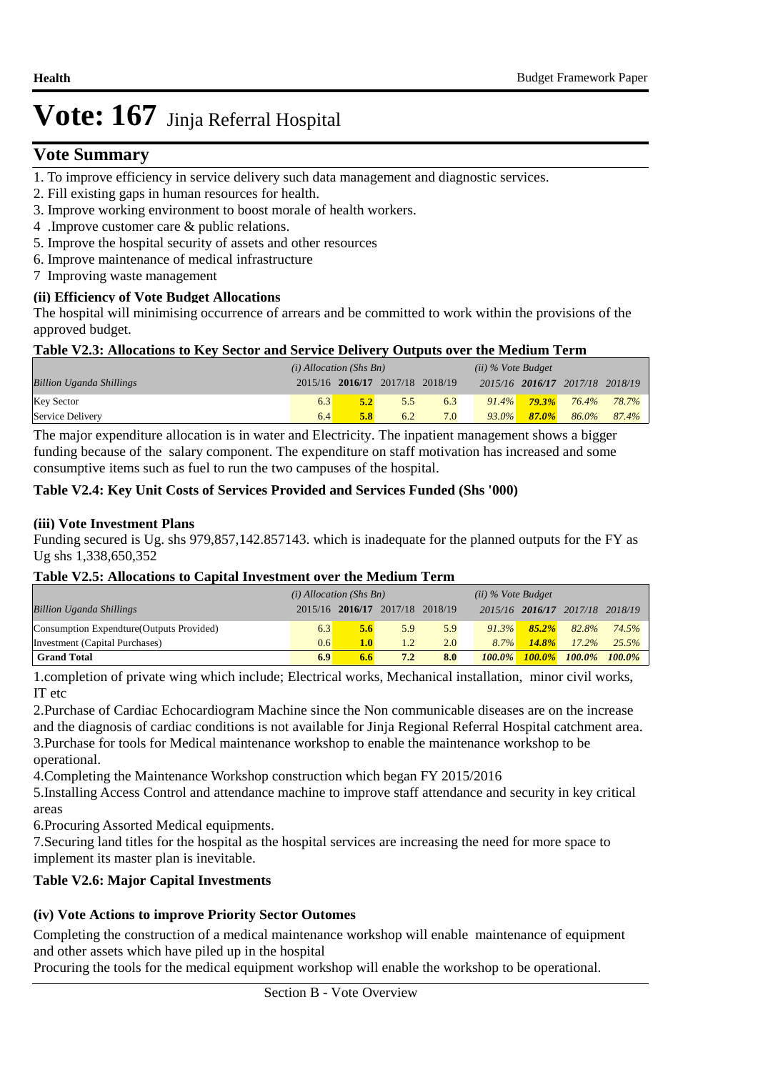## $V$ ote Summary

- 1. To improve efficiency in service delivery such data management and diagnostic services.
- 2. Fill existing gaps in human resources for health.
- 3. Improve working environment to boost morale of health workers.
- 4 .Improve customer care & public relations.
- 5. Improve the hospital security of assets and other resources
- 6. Improve maintenance of medical infrastructure
- 7 Improving waste management

#### **(ii) Efficiency of Vote Budget Allocations**

The hospital will minimising occurrence of arrears and be committed to work within the provisions of the approved budget.

#### **Table V2.3: Allocations to Key Sector and Service Delivery Outputs over the Medium Term**

|                                 | $(i)$ Allocation (Shs Bn) |     |                                 | $(ii)$ % Vote Budget |          |          |                                 |       |
|---------------------------------|---------------------------|-----|---------------------------------|----------------------|----------|----------|---------------------------------|-------|
| <b>Billion Uganda Shillings</b> |                           |     | 2015/16 2016/17 2017/18 2018/19 |                      |          |          | 2015/16 2016/17 2017/18 2018/19 |       |
| <b>Key Sector</b>               | 6.3                       | 5.2 | 5.5                             | 6.3                  | $91.4\%$ | $79.3\%$ | 76.4%                           | 78.7% |
| Service Delivery                | 6.4                       | 5.8 | 6.2                             | 7.0                  | $93.0\%$ | $87.0\%$ | 86.0%                           | 87.4% |

The major expenditure allocation is in water and Electricity. The inpatient management shows a bigger funding because of the salary component. The expenditure on staff motivation has increased and some consumptive items such as fuel to run the two campuses of the hospital.

#### **Table V2.4: Key Unit Costs of Services Provided and Services Funded (Shs '000)**

#### **(iii) Vote Investment Plans**

Funding secured is Ug. shs 979,857,142.857143. which is inadequate for the planned outputs for the FY as Ug shs 1,338,650,352

#### **Table V2.5: Allocations to Capital Investment over the Medium Term**

|                                           | $(i)$ Allocation (Shs Bn) |                                 |     | $(ii)$ % Vote Budget |           |                                 |                      |       |
|-------------------------------------------|---------------------------|---------------------------------|-----|----------------------|-----------|---------------------------------|----------------------|-------|
| <b>Billion Uganda Shillings</b>           |                           | 2015/16 2016/17 2017/18 2018/19 |     |                      |           | 2015/16 2016/17 2017/18 2018/19 |                      |       |
| Consumption Expendture (Outputs Provided) | 6.3                       | 5.6                             | 5.9 | 5.9                  | $91.3\%$  | $85.2\%$                        | 82.8%                | 74.5% |
| Investment (Capital Purchases)            | 0.6                       | 1.0 <sub>l</sub>                | 1.2 | 2.0                  | $8.7\%$   | 14.8%                           | $17.2\%$             | 25.5% |
| <b>Grand Total</b>                        | 6.9                       | 6.6                             | 7.2 | 8.0                  | $100.0\%$ |                                 | 100.0% 100.0% 100.0% |       |

1. completion of private wing which include; Electrical works, Mechanical installation, minor civil works, IT etc

2. Purchase of Cardiac Echocardiogram Machine since the Non communicable diseases are on the increase and the diagnosis of cardiac conditions is not available for Jinja Regional Referral Hospital catchment area. 3. Purchase for tools for Medical maintenance workshop to enable the maintenance workshop to be operational.

4. Completing the Maintenance Workshop construction which began FY 2015/2016

5. Installing Access Control and attendance machine to improve staff attendance and security in key critical areas

6. Procuring Assorted Medical equipments.

7. Securing land titles for the hospital as the hospital services are increasing the need for more space to implement its master plan is inevitable.

#### **Table V2.6: Major Capital Investments**

#### **(iv) Vote Actions to improve Priority Sector Outomes**

Completing the construction of a medical maintenance workshop will enable maintenance of equipment and other assets which have piled up in the hospital

Procuring the tools for the medical equipment workshop will enable the workshop to be operational.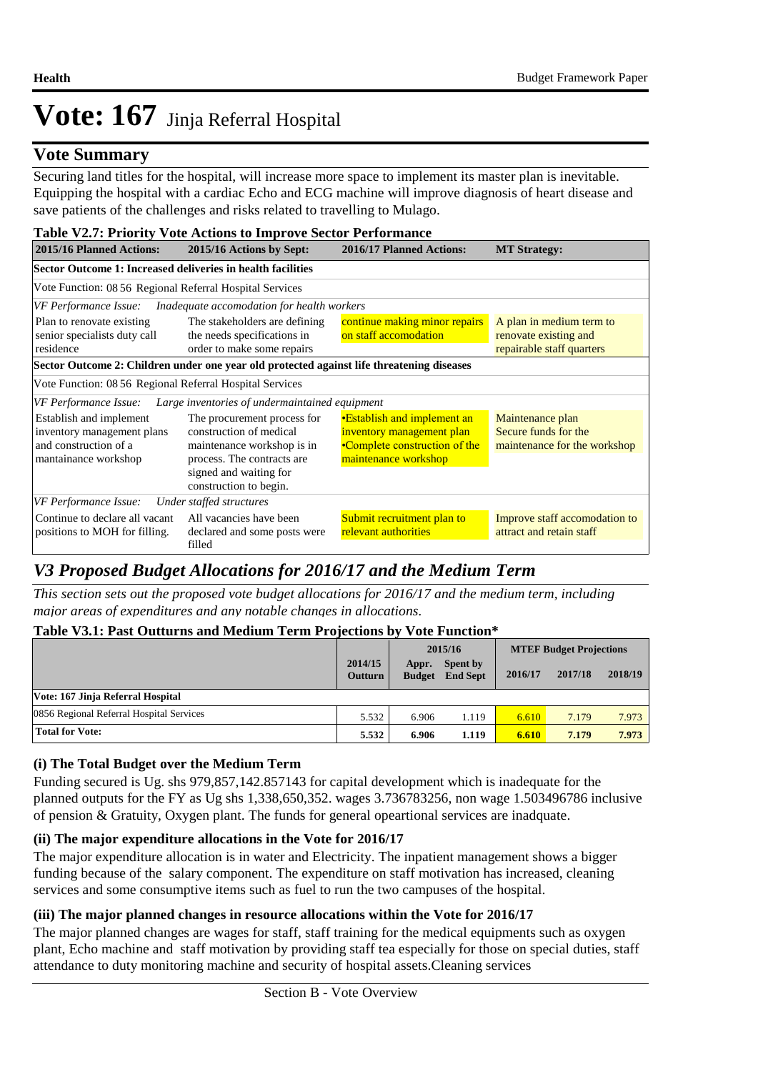### **Vote Summary**

Securing land titles for the hospital, will increase more space to implement its master plan is inevitable. Equipping the hospital with a cardiac Echo and ECG machine will improve diagnosis of heart disease and save patients of the challenges and risks related to travelling to Mulago.

#### **Table V2.7: Priority Vote Actions to Improve Sector Performance**

| 2015/16 Planned Actions:                                                                               | rable $\overline{r}$ . Figure $\overline{r}$ and the detection to improve because for continuance<br>2015/16 Actions by Sept:                                          | 2016/17 Planned Actions:                                                                                          | <b>MT Strategy:</b>                                                            |  |  |  |  |  |
|--------------------------------------------------------------------------------------------------------|------------------------------------------------------------------------------------------------------------------------------------------------------------------------|-------------------------------------------------------------------------------------------------------------------|--------------------------------------------------------------------------------|--|--|--|--|--|
| Sector Outcome 1: Increased deliveries in health facilities                                            |                                                                                                                                                                        |                                                                                                                   |                                                                                |  |  |  |  |  |
| Vote Function: 08 56 Regional Referral Hospital Services                                               |                                                                                                                                                                        |                                                                                                                   |                                                                                |  |  |  |  |  |
| VF Performance Issue:                                                                                  | Inadequate accomodation for health workers                                                                                                                             |                                                                                                                   |                                                                                |  |  |  |  |  |
| Plan to renovate existing<br>senior specialists duty call<br>residence                                 | The stakeholders are defining<br>the needs specifications in<br>order to make some repairs                                                                             | continue making minor repairs<br>on staff accomodation                                                            | A plan in medium term to<br>renovate existing and<br>repairable staff quarters |  |  |  |  |  |
|                                                                                                        | Sector Outcome 2: Children under one year old protected against life threatening diseases                                                                              |                                                                                                                   |                                                                                |  |  |  |  |  |
| Vote Function: 08 56 Regional Referral Hospital Services                                               |                                                                                                                                                                        |                                                                                                                   |                                                                                |  |  |  |  |  |
| VF Performance Issue:                                                                                  | Large inventories of undermaintained equipment                                                                                                                         |                                                                                                                   |                                                                                |  |  |  |  |  |
| Establish and implement<br>inventory management plans<br>and construction of a<br>mantainance workshop | The procurement process for<br>construction of medical<br>maintenance workshop is in<br>process. The contracts are<br>signed and waiting for<br>construction to begin. | •Establish and implement an<br>inventory management plan<br>•Complete construction of the<br>maintenance workshop | Maintenance plan<br>Secure funds for the<br>maintenance for the workshop       |  |  |  |  |  |
| VF Performance Issue:                                                                                  | Under staffed structures                                                                                                                                               |                                                                                                                   |                                                                                |  |  |  |  |  |
| Continue to declare all vacant<br>positions to MOH for filling.                                        | All vacancies have been<br>declared and some posts were<br>filled                                                                                                      | Submit recruitment plan to<br>relevant authorities                                                                | Improve staff accomodation to<br>attract and retain staff                      |  |  |  |  |  |

## *V3 Proposed Budget Allocations for 2016/17 and the Medium Term*

*This section sets out the proposed vote budget allocations for 2016/17 and the medium term, including major areas of expenditures and any notable changes in allocations.* 

#### **Table V3.1: Past Outturns and Medium Term Projections by Vote Function\***

|                                          |                           | 2015/16                |                             | <b>MTEF Budget Projections</b> |         |         |
|------------------------------------------|---------------------------|------------------------|-----------------------------|--------------------------------|---------|---------|
|                                          | 2014/15<br><b>Outturn</b> | Appr.<br><b>Budget</b> | Spent by<br><b>End Sept</b> | 2016/17                        | 2017/18 | 2018/19 |
| Vote: 167 Jinja Referral Hospital        |                           |                        |                             |                                |         |         |
| 0856 Regional Referral Hospital Services | 5.532                     | 6.906                  | 1.119                       | 6.610                          | 7.179   | 7.973   |
| <b>Total for Vote:</b>                   | 5.532                     | 6.906                  | 1.119                       | 6.610                          | 7.179   | 7.973   |

#### **(i) The Total Budget over the Medium Term**

Funding secured is Ug. shs 979,857,142.857143 for capital development which is inadequate for the planned outputs for the FY as Ug shs 1,338,650,352. wages 3.736783256, non wage 1.503496786 inclusive of pension & Gratuity, Oxygen plant. The funds for general opeartional services are inadquate.

#### **(ii) The major expenditure allocations in the Vote for 2016/17**

The major expenditure allocation is in water and Electricity. The inpatient management shows a bigger funding because of the salary component. The expenditure on staff motivation has increased, cleaning services and some consumptive items such as fuel to run the two campuses of the hospital.

#### **(iii) The major planned changes in resource allocations within the Vote for 2016/17**

The major planned changes are wages for staff, staff training for the medical equipments such as oxygen plant, Echo machine and staff motivation by providing staff tea especially for those on special duties, staff attendance to duty monitoring machine and security of hospital assets.Cleaning services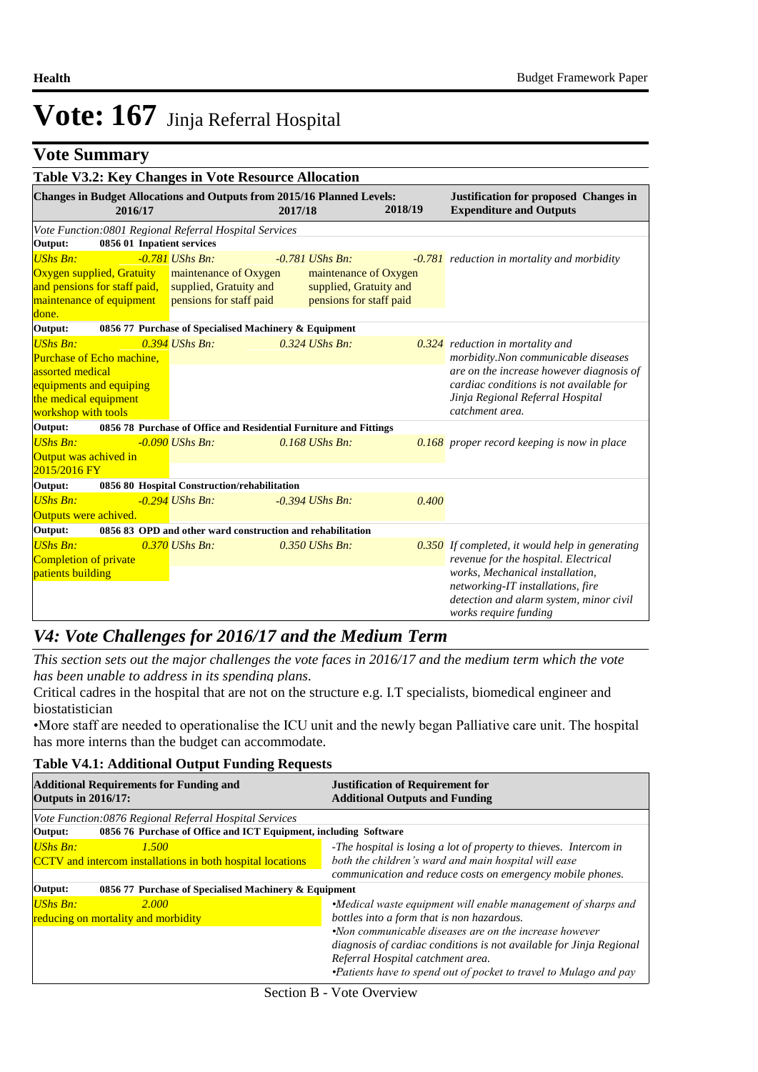## **Vote Summary**

|                                                                                       |         |                                                                            | Table V3.2: Key Changes in Vote Resource Allocation                               |                                                                            |         |       |                                                                                                                                  |  |
|---------------------------------------------------------------------------------------|---------|----------------------------------------------------------------------------|-----------------------------------------------------------------------------------|----------------------------------------------------------------------------|---------|-------|----------------------------------------------------------------------------------------------------------------------------------|--|
|                                                                                       | 2016/17 |                                                                            | Changes in Budget Allocations and Outputs from 2015/16 Planned Levels:<br>2017/18 |                                                                            | 2018/19 |       | <b>Justification for proposed Changes in</b><br><b>Expenditure and Outputs</b>                                                   |  |
|                                                                                       |         |                                                                            | Vote Function: 0801 Regional Referral Hospital Services                           |                                                                            |         |       |                                                                                                                                  |  |
| Output:                                                                               |         | 0856 01 Inpatient services                                                 |                                                                                   |                                                                            |         |       |                                                                                                                                  |  |
| <b>UShs Bn:</b>                                                                       |         | $-0.781$ UShs Bn:                                                          |                                                                                   | $-0.781$ UShs Bn:                                                          |         |       | -0.781 reduction in mortality and morbidity                                                                                      |  |
| Oxygen supplied, Gratuity<br>and pensions for staff paid,<br>maintenance of equipment |         | maintenance of Oxygen<br>supplied, Gratuity and<br>pensions for staff paid |                                                                                   | maintenance of Oxygen<br>supplied, Gratuity and<br>pensions for staff paid |         |       |                                                                                                                                  |  |
| done.                                                                                 |         |                                                                            |                                                                                   |                                                                            |         |       |                                                                                                                                  |  |
| Output:                                                                               |         |                                                                            | 0856 77 Purchase of Specialised Machinery & Equipment                             |                                                                            |         |       |                                                                                                                                  |  |
| <b>UShs Bn:</b><br>Purchase of Echo machine.<br>assorted medical                      |         | $0.394$ UShs Bn:                                                           |                                                                                   | $0.324$ UShs Bn:                                                           |         |       | $\overline{0.324}$ reduction in mortality and<br>morbidity.Non communicable diseases<br>are on the increase however diagnosis of |  |
| equipments and equiping<br>the medical equipment<br>workshop with tools               |         |                                                                            |                                                                                   |                                                                            |         |       | cardiac conditions is not available for<br>Jinja Regional Referral Hospital<br>catchment area.                                   |  |
| Output:                                                                               |         |                                                                            | 0856 78 Purchase of Office and Residential Furniture and Fittings                 |                                                                            |         |       |                                                                                                                                  |  |
| <b>UShs Bn:</b><br>Output was achived in<br>2015/2016 FY                              |         | $-0.090$ UShs Bn:                                                          |                                                                                   | $0.168$ UShs Bn:                                                           |         |       | $0.168$ proper record keeping is now in place                                                                                    |  |
| Output:                                                                               |         |                                                                            | 0856 80 Hospital Construction/rehabilitation                                      |                                                                            |         |       |                                                                                                                                  |  |
| <b>UShs Bn:</b><br>Outputs were achived.                                              |         | $-0.294$ UShs Bn:                                                          |                                                                                   | -0.394 UShs Bn:                                                            |         | 0.400 |                                                                                                                                  |  |
| Output:                                                                               |         |                                                                            | 0856 83 OPD and other ward construction and rehabilitation                        |                                                                            |         |       |                                                                                                                                  |  |
| <b>UShs Bn:</b><br>Completion of private<br>patients building                         |         | $0.370$ UShs Bn:                                                           |                                                                                   | $0.350$ UShs Bn:                                                           |         |       | $0.350$ If completed, it would help in generating<br>revenue for the hospital. Electrical<br>works, Mechanical installation,     |  |
|                                                                                       |         |                                                                            |                                                                                   |                                                                            |         |       | networking-IT installations, fire<br>detection and alarm system, minor civil<br>works require funding                            |  |

### *V4: Vote Challenges for 2016/17 and the Medium Term*

*This section sets out the major challenges the vote faces in 2016/17 and the medium term which the vote has been unable to address in its spending plans.*

Critical cadres in the hospital that are not on the structure e.g. I.T specialists, biomedical engineer and biostatistician

• More staff are needed to operationalise the ICU unit and the newly began Palliative care unit. The hospital has more interns than the budget can accommodate.

#### **Table V4.1: Additional Output Funding Requests**

| <b>Additional Requirements for Funding and</b><br><b>Outputs in 2016/17:</b>                                                          | <b>Justification of Requirement for</b><br><b>Additional Outputs and Funding</b>                                                                                                                                                                                                                                                                       |  |  |  |
|---------------------------------------------------------------------------------------------------------------------------------------|--------------------------------------------------------------------------------------------------------------------------------------------------------------------------------------------------------------------------------------------------------------------------------------------------------------------------------------------------------|--|--|--|
| Vote Function:0876 Regional Referral Hospital Services<br>0856 76 Purchase of Office and ICT Equipment, including Software<br>Output: |                                                                                                                                                                                                                                                                                                                                                        |  |  |  |
| <b>UShs Bn:</b><br>1.500<br><b>CCTV</b> and intercom installations in both hospital locations                                         | -The hospital is losing a lot of property to thieves. Intercom in<br>both the children's ward and main hospital will ease<br>communication and reduce costs on emergency mobile phones.                                                                                                                                                                |  |  |  |
| 0856 77 Purchase of Specialised Machinery & Equipment<br>Output:                                                                      |                                                                                                                                                                                                                                                                                                                                                        |  |  |  |
| <b>UShs Bn:</b><br>2.000<br>reducing on mortality and morbidity                                                                       | •Medical waste equipment will enable management of sharps and<br>bottles into a form that is non hazardous.<br>•Non communicable diseases are on the increase however<br>diagnosis of cardiac conditions is not available for Jinja Regional<br>Referral Hospital catchment area.<br>•Patients have to spend out of pocket to travel to Mulago and pay |  |  |  |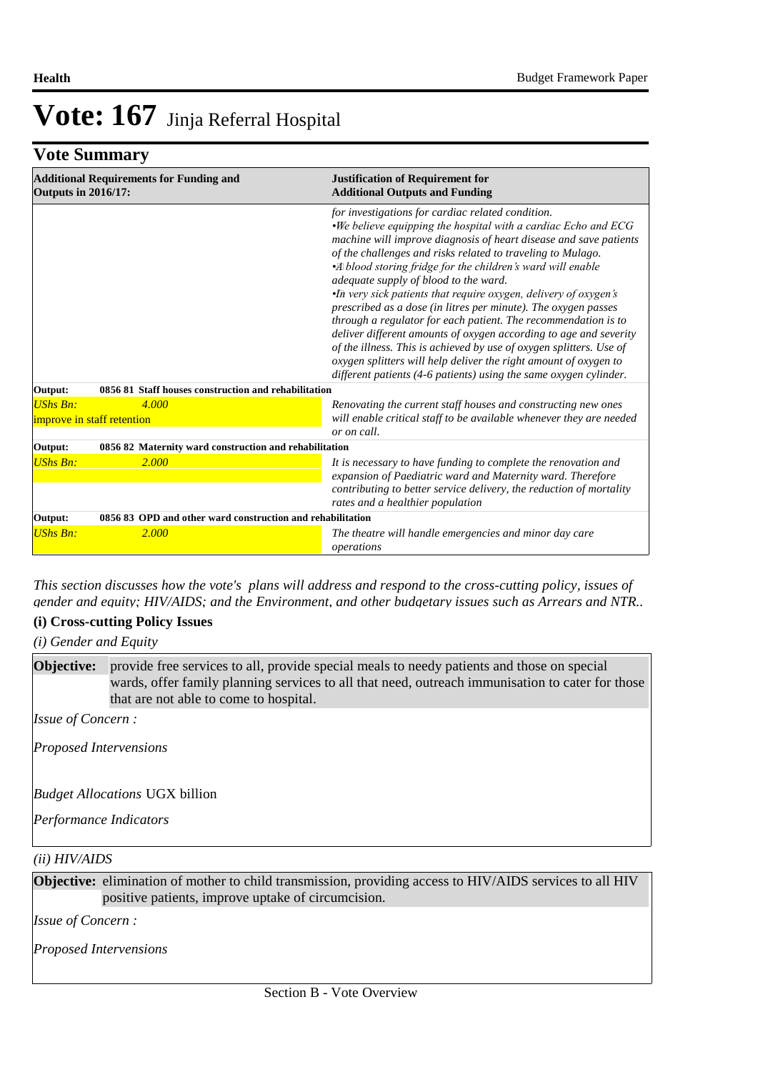## **Vote Summary**

| <b>Additional Requirements for Funding and</b><br><b>Outputs in 2016/17:</b> | <b>Justification of Requirement for</b><br><b>Additional Outputs and Funding</b>                                                                                                                                                                                                                                                                                                                                                                                                                                                                                                                                                                                                                                                                                                                                                                             |  |  |  |
|------------------------------------------------------------------------------|--------------------------------------------------------------------------------------------------------------------------------------------------------------------------------------------------------------------------------------------------------------------------------------------------------------------------------------------------------------------------------------------------------------------------------------------------------------------------------------------------------------------------------------------------------------------------------------------------------------------------------------------------------------------------------------------------------------------------------------------------------------------------------------------------------------------------------------------------------------|--|--|--|
|                                                                              | for investigations for cardiac related condition.<br>.We believe equipping the hospital with a cardiac Echo and ECG<br>machine will improve diagnosis of heart disease and save patients<br>of the challenges and risks related to traveling to Mulago.<br>•A blood storing fridge for the children's ward will enable<br>adequate supply of blood to the ward.<br>•In very sick patients that require oxygen, delivery of oxygen's<br>prescribed as a dose (in litres per minute). The oxygen passes<br>through a regulator for each patient. The recommendation is to<br>deliver different amounts of oxygen according to age and severity<br>of the illness. This is achieved by use of oxygen splitters. Use of<br>oxygen splitters will help deliver the right amount of oxygen to<br>different patients (4-6 patients) using the same oxygen cylinder. |  |  |  |
| 0856 81 Staff houses construction and rehabilitation<br>Output:              |                                                                                                                                                                                                                                                                                                                                                                                                                                                                                                                                                                                                                                                                                                                                                                                                                                                              |  |  |  |
| <b>UShs Bn:</b><br>4.000                                                     | Renovating the current staff houses and constructing new ones                                                                                                                                                                                                                                                                                                                                                                                                                                                                                                                                                                                                                                                                                                                                                                                                |  |  |  |
| improve in staff retention                                                   | will enable critical staff to be available whenever they are needed<br>or on call.                                                                                                                                                                                                                                                                                                                                                                                                                                                                                                                                                                                                                                                                                                                                                                           |  |  |  |
| 0856 82 Maternity ward construction and rehabilitation<br>Output:            |                                                                                                                                                                                                                                                                                                                                                                                                                                                                                                                                                                                                                                                                                                                                                                                                                                                              |  |  |  |
| <b>UShs Bn:</b><br>2.000                                                     | It is necessary to have funding to complete the renovation and<br>expansion of Paediatric ward and Maternity ward. Therefore<br>contributing to better service delivery, the reduction of mortality<br>rates and a healthier population                                                                                                                                                                                                                                                                                                                                                                                                                                                                                                                                                                                                                      |  |  |  |
| 0856 83 OPD and other ward construction and rehabilitation<br>Output:        |                                                                                                                                                                                                                                                                                                                                                                                                                                                                                                                                                                                                                                                                                                                                                                                                                                                              |  |  |  |
| <b>UShs Bn:</b><br>2.000                                                     | The theatre will handle emergencies and minor day care<br>operations                                                                                                                                                                                                                                                                                                                                                                                                                                                                                                                                                                                                                                                                                                                                                                                         |  |  |  |

*This section discusses how the vote's plans will address and respond to the cross-cutting policy, issues of gender and equity; HIV/AIDS; and the Environment, and other budgetary issues such as Arrears and NTR..* 

#### **(i) Cross-cutting Policy Issues**

*(i) Gender and Equity*

provide free services to all, provide special meals to needy patients and those on special wards, offer family planning services to all that need, outreach immunisation to cater for those that are not able to come to hospital. **Objective:**

*Issue of Concern :*

*Proposed Intervensions* 

*Budget Allocations*  UGX billion

*Performance Indicators*

#### *(ii) HIV/AIDS*

**Objective:** elimination of mother to child transmission, providing access to HIV/AIDS services to all HIV positive patients, improve uptake of circumcision.

*Issue of Concern :*

*Proposed Intervensions*